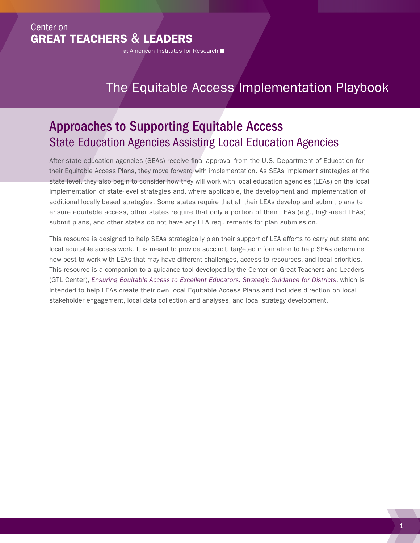## Center on GREAT TEACHERS & LEADERS

at American Institutes for Research

# The Equitable Access Implementation Playbook

## Approaches to Supporting Equitable Access State Education Agencies Assisting Local Education Agencies

After state education agencies (SEAs) receive final approval from the U.S. Department of Education for their Equitable Access Plans, they move forward with implementation. As SEAs implement strategies at the state level, they also begin to consider how they will work with local education agencies (LEAs) on the local implementation of state-level strategies and, where applicable, the development and implementation of additional locally based strategies. Some states require that all their LEAs develop and submit plans to ensure equitable access, other states require that only a portion of their LEAs (e.g., high-need LEAs) submit plans, and other states do not have any LEA requirements for plan submission.

This resource is designed to help SEAs strategically plan their support of LEA efforts to carry out state and local equitable access work. It is meant to provide succinct, targeted information to help SEAs determine how best to work with LEAs that may have different challenges, access to resources, and local priorities. This resource is a companion to a guidance tool developed by the Center on Great Teachers and Leaders (GTL Center), *[Ensuring Equitable Access to Excellent Educators: Strategic Guidance for Districts](http://www.gtlcenter.org/sites/default/files/Guidance_Districts.pdf)*, which is intended to help LEAs create their own local Equitable Access Plans and includes direction on local stakeholder engagement, local data collection and analyses, and local strategy development.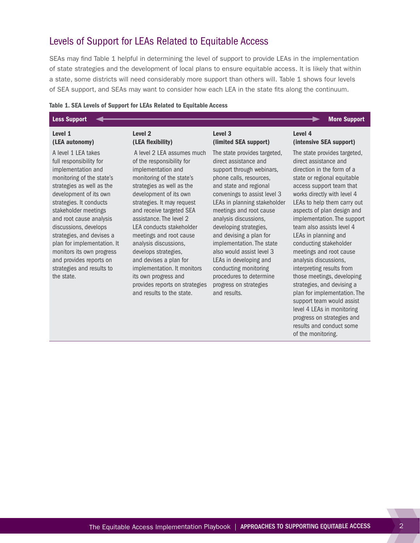#### Levels of Support for LEAs Related to Equitable Access

SEAs may find Table 1 helpful in determining the level of support to provide LEAs in the implementation of state strategies and the development of local plans to ensure equitable access. It is likely that within a state, some districts will need considerably more support than others will. Table 1 shows four levels of SEA support, and SEAs may want to consider how each LEA in the state fits along the continuum.

#### Table 1. SEA Levels of Support for LEAs Related to Equitable Access

#### Less Support **Advisor Contains the Support of the Support** Contains and Support of the Support of the Support of Level 1 (LEA autonomy) Level 2 (LEA flexibility) Level 3 Level 4

A level 1 LEA takes full responsibility for implementation and monitoring of the state's strategies as well as the development of its own strategies. It conducts stakeholder meetings and root cause analysis discussions, develops strategies, and devises a plan for implementation. It monitors its own progress and provides reports on strategies and results to the state.

 A level 2 LEA assumes much of the responsibility for implementation and monitoring of the state's strategies as well as the development of its own strategies. It may request and receive targeted SEA assistance. The level 2 LEA conducts stakeholder meetings and root cause analysis discussions, develops strategies, and devises a plan for implementation. It monitors its own progress and provides reports on strategies and results to the state.

# (limited SEA support)

The state provides targeted, direct assistance and support through webinars, phone calls, resources, and state and regional convenings to assist level 3 LEAs in planning stakeholder meetings and root cause analysis discussions, developing strategies, and devising a plan for implementation. The state also would assist level 3 LEAs in developing and conducting monitoring procedures to determine progress on strategies and results.

## (intensive SEA support)

The state provides targeted, direct assistance and direction in the form of a state or regional equitable access support team that works directly with level 4 LEAs to help them carry out aspects of plan design and implementation. The support team also assists level 4 LEAs in planning and conducting stakeholder meetings and root cause analysis discussions, interpreting results from those meetings, developing strategies, and devising a plan for implementation. The support team would assist level 4 LEAs in monitoring progress on strategies and results and conduct some of the monitoring.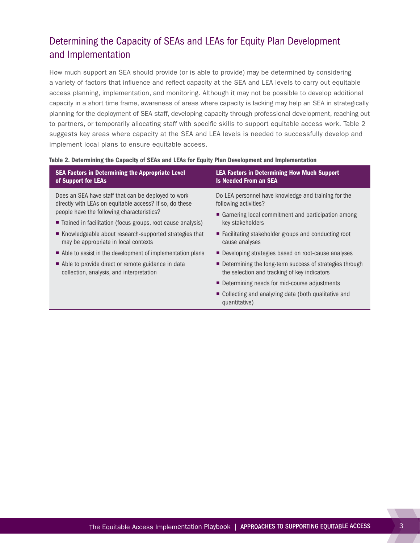## Determining the Capacity of SEAs and LEAs for Equity Plan Development and Implementation

How much support an SEA should provide (or is able to provide) may be determined by considering a variety of factors that influence and reflect capacity at the SEA and LEA levels to carry out equitable access planning, implementation, and monitoring. Although it may not be possible to develop additional capacity in a short time frame, awareness of areas where capacity is lacking may help an SEA in strategically planning for the deployment of SEA staff, developing capacity through professional development, reaching out to partners, or temporarily allocating staff with specific skills to support equitable access work. Table 2 suggests key areas where capacity at the SEA and LEA levels is needed to successfully develop and implement local plans to ensure equitable access.

#### Table 2. Determining the Capacity of SEAs and LEAs for Equity Plan Development and Implementation

| <b>SEA Factors in Determining the Appropriate Level</b>       | <b>LEA Factors in Determining How Much Support</b>                     |  |  |
|---------------------------------------------------------------|------------------------------------------------------------------------|--|--|
| of Support for LEAs                                           | <b>Is Needed From an SEA</b>                                           |  |  |
| Does an SEA have staff that can be deployed to work           | Do LEA personnel have knowledge and training for the                   |  |  |
| directly with LEAs on equitable access? If so, do these       | following activities?                                                  |  |  |
| people have the following characteristics?                    | • Garnering local commitment and participation among                   |  |  |
| ■ Trained in facilitation (focus groups, root cause analysis) | key stakeholders                                                       |  |  |
| ■ Knowledgeable about research-supported strategies that      | ■ Facilitating stakeholder groups and conducting root                  |  |  |
| may be appropriate in local contexts                          | cause analyses                                                         |  |  |
| Able to assist in the development of implementation plans     | ■ Developing strategies based on root-cause analyses                   |  |  |
| Able to provide direct or remote guidance in data             | ■ Determining the long-term success of strategies through              |  |  |
| collection, analysis, and interpretation                      | the selection and tracking of key indicators                           |  |  |
|                                                               | ■ Determining needs for mid-course adjustments                         |  |  |
|                                                               | • Collecting and analyzing data (both qualitative and<br>quantitative) |  |  |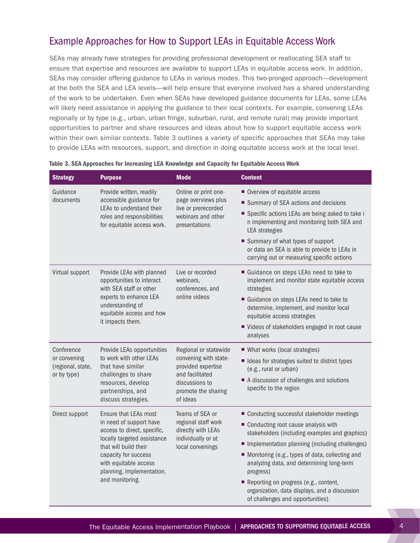## Example Approaches for How to Support LEAs in Equitable Access Work

SEAs may already have strategies for providing professional development or reallocating SEA staff to ensure that expertise and resources are available to support LEAs in equitable access work. In addition, SEAs may consider offering guidance to LEAs in various modes. This two-pronged approach—development at the both the SEA and LEA levels—will help ensure that everyone involved has a shared understanding of the work to be undertaken. Even when SEAs have developed guidance documents for LEAs, some LEAs will likely need assistance in applying the guidance to their local contexts. For example, convening LEAs regionally or by type (e.g., urban, urban fringe, suburban, rural, and remote rural) may provide important opportunities to partner and share resources and ideas about how to support equitable access work within their own similar contexts. Table 3 outlines a variety of specific approaches that SEAs may take to provide LEAs with resources, support, and direction in doing equitable access work at the local level.

| <b>Strategy</b>                                                | <b>Purpose</b>                                                                                                                                                                                                                           | <b>Mode</b>                                                                                                                                  | <b>Content</b>                                                                                                                                                                                                                                                                                                                                                                                                                     |
|----------------------------------------------------------------|------------------------------------------------------------------------------------------------------------------------------------------------------------------------------------------------------------------------------------------|----------------------------------------------------------------------------------------------------------------------------------------------|------------------------------------------------------------------------------------------------------------------------------------------------------------------------------------------------------------------------------------------------------------------------------------------------------------------------------------------------------------------------------------------------------------------------------------|
| Guidance<br>documents                                          | Provide written, readily<br>accessible guidance for<br>LEAs to understand their<br>roles and responsibilities<br>for equitable access work.                                                                                              | Online or print one-<br>page overviews plus<br>live or prerecorded<br>webinars and other<br>presentations                                    | Overview of equitable access<br>■ Summary of SEA actions and decisions<br>Specific actions LEAs are being asked to take i<br>n implementing and monitoring both SEA and<br><b>LEA</b> strategies<br>■ Summary of what types of support<br>or data an SEA is able to provide to LEAs in<br>carrying out or measuring specific actions                                                                                               |
| Virtual support                                                | Provide LEAs with planned<br>opportunities to interact<br>with SEA staff or other<br>experts to enhance LEA<br>understanding of<br>equitable access and how<br>it impacts them.                                                          | Live or recorded<br>webinars,<br>conferences, and<br>online videos                                                                           | Guidance on steps LEAs need to take to<br>implement and monitor state equitable access<br>strategies<br>Guidance on steps LEAs need to take to<br>determine, implement, and monitor local<br>equitable access strategies<br>■ Videos of stakeholders engaged in root cause<br>analyses                                                                                                                                             |
| Conference<br>or convening<br>(regional, state,<br>or by type) | Provide LEAs opportunities<br>to work with other LEAs<br>that have similar<br>challenges to share<br>resources, develop<br>partnerships, and<br>discuss strategies.                                                                      | Regional or statewide<br>convening with state-<br>provided expertise<br>and facilitated<br>discussions to<br>promote the sharing<br>of ideas | ■ What works (local strategies)<br>■ Ideas for strategies suited to district types<br>(e.g., rural or urban)<br>A discussion of challenges and solutions<br>specific to the region                                                                                                                                                                                                                                                 |
| Direct support                                                 | Ensure that LEAs most<br>in need of support have<br>access to direct, specific,<br>locally targeted assistance<br>that will build their<br>capacity for success<br>with equitable access<br>planning, implementation,<br>and monitoring. | Teams of SEA or<br>regional staff work<br>directly with LEAs<br>individually or at<br>local convenings                                       | ■ Conducting successful stakeholder meetings<br>Conducting root cause analysis with<br>stakeholders (including examples and graphics)<br>Implementation planning (including challenges)<br>Monitoring (e.g., types of data, collecting and<br>analyzing data, and determining long-term<br>progress)<br>Reporting on progress (e.g., content,<br>organization, data displays, and a discussion<br>of challenges and opportunities) |

|  |  | Table 3. SEA Approaches for Increasing LEA Knowledge and Capacity for Equitable Access Work |  |  |  |  |
|--|--|---------------------------------------------------------------------------------------------|--|--|--|--|
|--|--|---------------------------------------------------------------------------------------------|--|--|--|--|